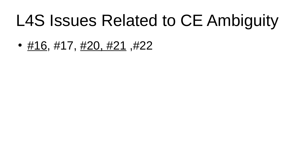# L4S Issues Related to CE Ambiguity

•  $\#16, \#17, \#20, \#21, \#22$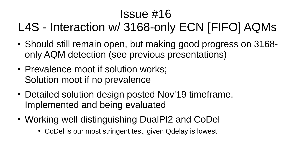### Issue #16

### L4S - Interaction w/ 3168-only ECN [FIFO] AQMs

- Should still remain open, but making good progress on 3168only AQM detection (see previous presentations)
- Prevalence moot if solution works; Solution moot if no prevalence
- Detailed solution design posted Nov'19 timeframe. Implemented and being evaluated
- Working well distinguishing DualPI2 and CoDel
	- CoDel is our most stringent test, given Qdelay is lowest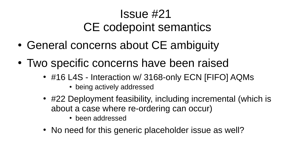#### Issue #21 CE codepoint semantics

- General concerns about CE ambiguity
- Two specific concerns have been raised
	- #16 L4S Interaction w/ 3168-only ECN [FIFO] AQMs
		- being actively addressed
	- #22 Deployment feasibility, including incremental (which is about a case where re-ordering can occur)
		- been addressed
	- No need for this generic placeholder issue as well?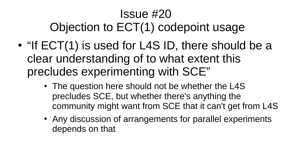### Issue #20 Objection to ECT(1) codepoint usage

- $\bullet$  "If ECT(1) is used for L4S ID, there should be a clear understanding of to what extent this precludes experimenting with SCE"
	- The question here should not be whether the L4S precludes SCE, but whether there's anything the community might want from SCE that it can't get from L4S
	- Any discussion of arrangements for parallel experiments depends on that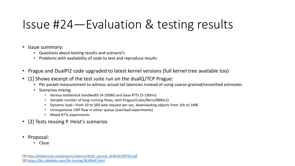# Issue #24—Evaluation & testing results

- Issue summary:
	- Questions about testing results and scenario's
	- Problems with availability of code to test and reproduce results
- Prague and DualPI2 code upgraded to latest kernel versions (full kernel tree available too)
- [1] Shows excerpt of the test suite run on the dualQ/TCP Prague:
	- Per packet measurement to witness actual tail latencies instead of using coarse-grained/smoothed estimates
	- Scenarios mixing:
		- Various bottleneck bandwidth (4-200M) and base RTTs (5-100ms)
		- Variable number of long-running flows, with Prague/Cubic/Reno/BBR(v2)
		- Dynamic load—from 10 to 500 web request per sec, downloading objects from 1kb to 1MB
		- Unresponsive UDP flow in either queue (overload experiments)
		- Mixed RTTs experiments
- [2] Tests reusing P. Heist's scenarios
- Proposal:
	- Close

[1] [http://bobbriscoe.net/projects/latency/dctth\\_journal\\_draft20190726.pdf](http://bobbriscoe.net/projects/latency/dctth_journal_draft20190726.pdf) [2]<https://l4s.cablelabs.com/l4s-testing/README.html>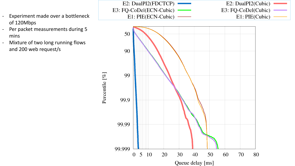- Experiment made over a bottleneck of 120Mbps
- Per packet measurements during 5 mins
- Mixture of two long running flows and 200 web request/s

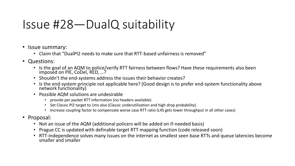# Issue #28—DualQ suitability

- Issue summary:
	- Claim that "DualPI2 needs to make sure that RTT-based unfairness is removed"
- Questions:
	- Is the goal of an AQM to police/verify RTT fairness between flows? Have these requirements also been imposed on PIE, CoDel, RED, …?
	- Shouldn't the end-systems address the issues their behavior creates?
	- Is the end-system principle not applicable here? (Good design is to prefer end-system functionality above network functionality)
	- Possible AQM solutions are undesirable
		- provide per packet RTT information (no headers available)
		- Set Classic PI2 target to 1ms also (Classic underutilization and high drop probability)
		- Increase coupling factor to compensate worse case RTT ratio (L4S gets lower throughput in all other cases)
- Proposal:
	- Not an issue of the AQM (additional policers will be added on if-needed basis)
	- Prague CC is updated with definable target RTT mapping function (code released soon)
	- RTT-independence solves many issues on the internet as smallest seen base RTTs and queue latencies become smaller and smaller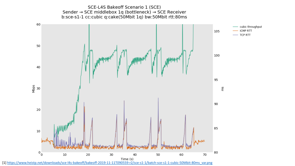SCE-L4S Bakeoff Scenario 1 (SCE) Sender → SCE middlebox 1q (bottleneck) → SCE Receiver b:sce-s1-1 cc:cubic q:cake(50Mbit 1q) bw:50Mbit rtt:80ms



[1] [https://www.heistp.net/downloads/sce-l4s-bakeoff/bakeoff-2019-11-11T090559-r2/sce-s1-1/batch-sce-s1-1-cubic-50Mbit-80ms\\_var.png](https://www.heistp.net/downloads/sce-l4s-bakeoff/bakeoff-2019-11-11T090559-r2/sce-s1-1/batch-sce-s1-1-cubic-50Mbit-80ms_var.png)